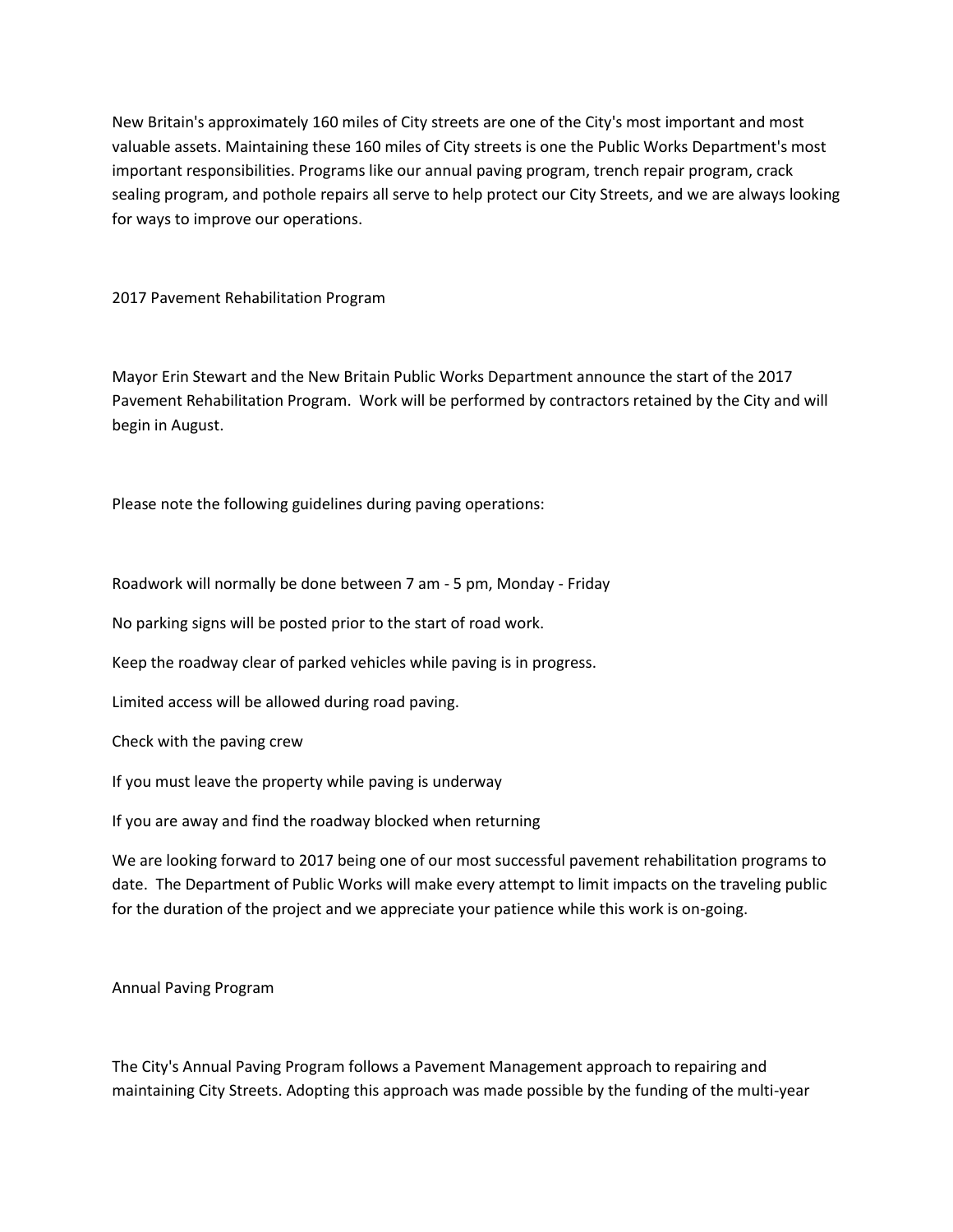New Britain's approximately 160 miles of City streets are one of the City's most important and most valuable assets. Maintaining these 160 miles of City streets is one the Public Works Department's most important responsibilities. Programs like our annual paving program, trench repair program, crack sealing program, and pothole repairs all serve to help protect our City Streets, and we are always looking for ways to improve our operations.

2017 Pavement Rehabilitation Program

Mayor Erin Stewart and the New Britain Public Works Department announce the start of the 2017 Pavement Rehabilitation Program. Work will be performed by contractors retained by the City and will begin in August.

Please note the following guidelines during paving operations:

Roadwork will normally be done between 7 am - 5 pm, Monday - Friday

No parking signs will be posted prior to the start of road work.

Keep the roadway clear of parked vehicles while paving is in progress.

Limited access will be allowed during road paving.

Check with the paving crew

If you must leave the property while paving is underway

If you are away and find the roadway blocked when returning

We are looking forward to 2017 being one of our most successful pavement rehabilitation programs to date. The Department of Public Works will make every attempt to limit impacts on the traveling public for the duration of the project and we appreciate your patience while this work is on-going.

Annual Paving Program

The City's Annual Paving Program follows a Pavement Management approach to repairing and maintaining City Streets. Adopting this approach was made possible by the funding of the multi-year